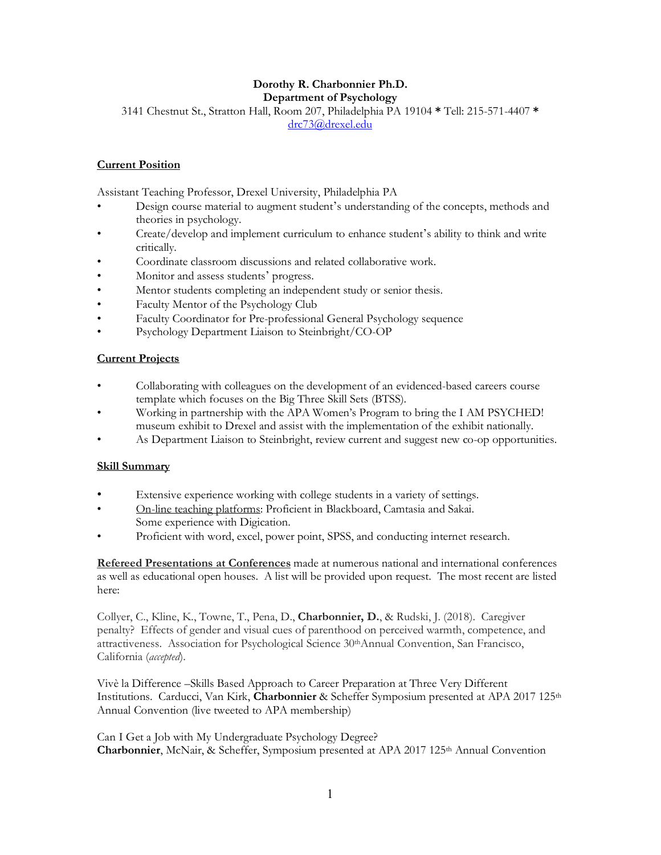## **Dorothy R. Charbonnier Ph.D. Department of Psychology**

3141 Chestnut St., Stratton Hall, Room 207, Philadelphia PA 19104 **\*** Tell: 215-571-4407 **\***

drc73@drexel.edu

# **Current Position**

Assistant Teaching Professor, Drexel University, Philadelphia PA

- Design course material to augment student's understanding of the concepts, methods and theories in psychology.
- Create/develop and implement curriculum to enhance student's ability to think and write critically.
- Coordinate classroom discussions and related collaborative work.
- Monitor and assess students' progress.
- Mentor students completing an independent study or senior thesis.
- Faculty Mentor of the Psychology Club
- Faculty Coordinator for Pre-professional General Psychology sequence
- Psychology Department Liaison to Steinbright/CO-OP

# **Current Projects**

- Collaborating with colleagues on the development of an evidenced-based careers course template which focuses on the Big Three Skill Sets (BTSS).
- Working in partnership with the APA Women's Program to bring the I AM PSYCHED! museum exhibit to Drexel and assist with the implementation of the exhibit nationally.
- As Department Liaison to Steinbright, review current and suggest new co-op opportunities.

## **Skill Summary**

- Extensive experience working with college students in a variety of settings.
- On-line teaching platforms: Proficient in Blackboard, Camtasia and Sakai. Some experience with Digication.
- Proficient with word, excel, power point, SPSS, and conducting internet research.

**Refereed Presentations at Conferences** made at numerous national and international conferences as well as educational open houses. A list will be provided upon request. The most recent are listed here:

Collyer, C., Kline, K., Towne, T., Pena, D., **Charbonnier, D.**, & Rudski, J. (2018). Caregiver penalty? Effects of gender and visual cues of parenthood on perceived warmth, competence, and attractiveness. Association for Psychological Science 30<sup>th</sup>Annual Convention, San Francisco, California (*accepted*).

Vivè la Difference –Skills Based Approach to Career Preparation at Three Very Different Institutions. Carducci, Van Kirk, Charbonnier & Scheffer Symposium presented at APA 2017 125<sup>th</sup> Annual Convention (live tweeted to APA membership)

Can I Get a Job with My Undergraduate Psychology Degree? **Charbonnier**, McNair, & Scheffer, Symposium presented at APA 2017 125th Annual Convention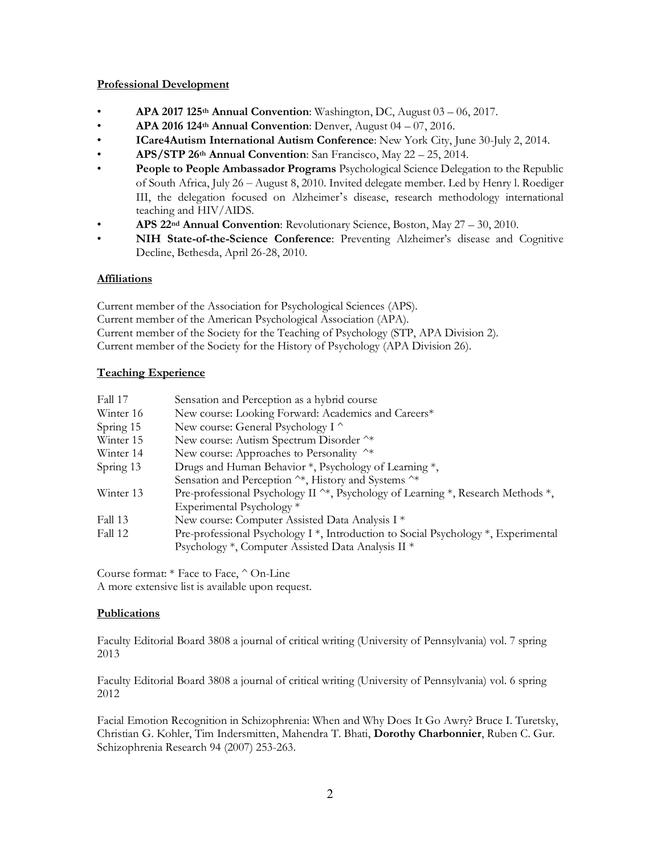## **Professional Development**

- **APA 2017 125th Annual Convention**: Washington, DC, August 03 06, 2017.
- **APA 2016 124th Annual Convention**: Denver, August 04 07, 2016.
- **ICare4Autism International Autism Conference**: New York City, June 30-July 2, 2014.
- **APS/STP 26th Annual Convention**: San Francisco, May 22 25, 2014.
- **People to People Ambassador Programs** Psychological Science Delegation to the Republic of South Africa, July 26 – August 8, 2010. Invited delegate member. Led by Henry l. Roediger III, the delegation focused on Alzheimer's disease, research methodology international teaching and HIV/AIDS.
- **APS 22nd Annual Convention**: Revolutionary Science, Boston, May 27 30, 2010.
- **NIH State-of-the-Science Conference**: Preventing Alzheimer's disease and Cognitive Decline, Bethesda, April 26-28, 2010.

# **Affiliations**

Current member of the Association for Psychological Sciences (APS). Current member of the American Psychological Association (APA). Current member of the Society for the Teaching of Psychology (STP, APA Division 2). Current member of the Society for the History of Psychology (APA Division 26).

# **Teaching Experience**

| Fall 17   | Sensation and Perception as a hybrid course                                                                |
|-----------|------------------------------------------------------------------------------------------------------------|
| Winter 16 | New course: Looking Forward: Academics and Careers*                                                        |
| Spring 15 | New course: General Psychology I ^                                                                         |
| Winter 15 | New course: Autism Spectrum Disorder ^*                                                                    |
| Winter 14 | New course: Approaches to Personality ^*                                                                   |
| Spring 13 | Drugs and Human Behavior *, Psychology of Learning *,                                                      |
|           | Sensation and Perception ^*, History and Systems ^*                                                        |
| Winter 13 | Pre-professional Psychology II $\gamma$ , Psychology of Learning $\gamma$ , Research Methods $\gamma$ ,    |
|           | Experimental Psychology *                                                                                  |
| Fall 13   | New course: Computer Assisted Data Analysis I *                                                            |
| Fall 12   | Pre-professional Psychology I <sup>*</sup> , Introduction to Social Psychology <sup>*</sup> , Experimental |
|           | Psychology *, Computer Assisted Data Analysis II *                                                         |

Course format: \* Face to Face, ^ On-Line A more extensive list is available upon request.

## **Publications**

Faculty Editorial Board 3808 a journal of critical writing (University of Pennsylvania) vol. 7 spring 2013

Faculty Editorial Board 3808 a journal of critical writing (University of Pennsylvania) vol. 6 spring 2012

Facial Emotion Recognition in Schizophrenia: When and Why Does It Go Awry? Bruce I. Turetsky, Christian G. Kohler, Tim Indersmitten, Mahendra T. Bhati, **Dorothy Charbonnier**, Ruben C. Gur. Schizophrenia Research 94 (2007) 253-263.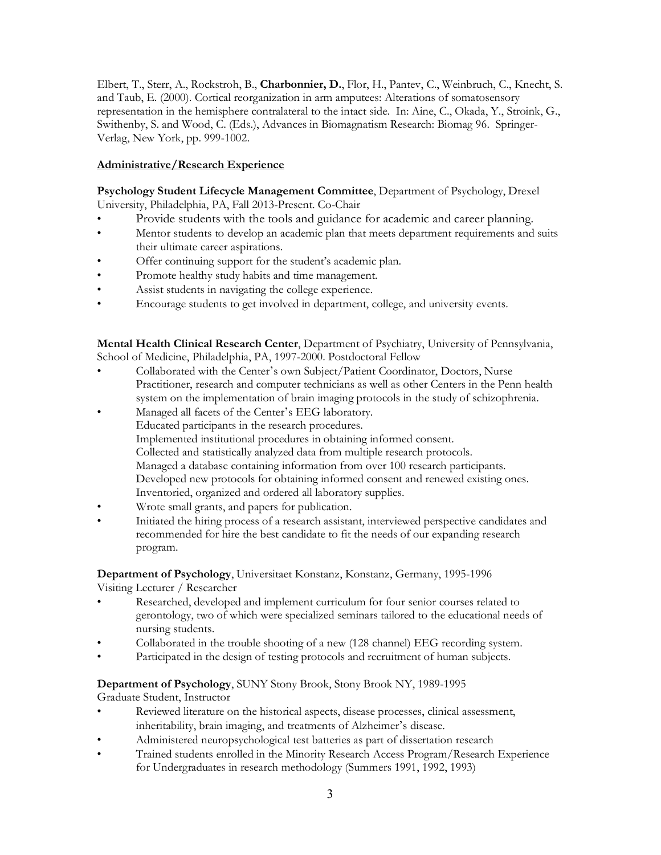Elbert, T., Sterr, A., Rockstroh, B., **Charbonnier, D.**, Flor, H., Pantev, C., Weinbruch, C., Knecht, S. and Taub, E. (2000). Cortical reorganization in arm amputees: Alterations of somatosensory representation in the hemisphere contralateral to the intact side. In: Aine, C., Okada, Y., Stroink, G., Swithenby, S. and Wood, C. (Eds.), Advances in Biomagnatism Research: Biomag 96. Springer-Verlag, New York, pp. 999-1002.

## **Administrative/Research Experience**

**Psychology Student Lifecycle Management Committee**, Department of Psychology, Drexel University, Philadelphia, PA, Fall 2013-Present. Co-Chair

- Provide students with the tools and guidance for academic and career planning.
- Mentor students to develop an academic plan that meets department requirements and suits their ultimate career aspirations.
- Offer continuing support for the student's academic plan.
- Promote healthy study habits and time management.
- Assist students in navigating the college experience.
- Encourage students to get involved in department, college, and university events.

**Mental Health Clinical Research Center**, Department of Psychiatry, University of Pennsylvania, School of Medicine, Philadelphia, PA, 1997-2000. Postdoctoral Fellow

- Collaborated with the Center's own Subject/Patient Coordinator, Doctors, Nurse Practitioner, research and computer technicians as well as other Centers in the Penn health system on the implementation of brain imaging protocols in the study of schizophrenia.
- Managed all facets of the Center's EEG laboratory. Educated participants in the research procedures. Implemented institutional procedures in obtaining informed consent. Collected and statistically analyzed data from multiple research protocols. Managed a database containing information from over 100 research participants. Developed new protocols for obtaining informed consent and renewed existing ones. Inventoried, organized and ordered all laboratory supplies.
- Wrote small grants, and papers for publication.
- Initiated the hiring process of a research assistant, interviewed perspective candidates and recommended for hire the best candidate to fit the needs of our expanding research program.

**Department of Psychology**, Universitaet Konstanz, Konstanz, Germany, 1995-1996 Visiting Lecturer / Researcher

- Researched, developed and implement curriculum for four senior courses related to gerontology, two of which were specialized seminars tailored to the educational needs of nursing students.
- Collaborated in the trouble shooting of a new (128 channel) EEG recording system.
- Participated in the design of testing protocols and recruitment of human subjects.

**Department of Psychology**, SUNY Stony Brook, Stony Brook NY, 1989-1995 Graduate Student, Instructor

- Reviewed literature on the historical aspects, disease processes, clinical assessment, inheritability, brain imaging, and treatments of Alzheimer's disease.
- Administered neuropsychological test batteries as part of dissertation research
- Trained students enrolled in the Minority Research Access Program/Research Experience for Undergraduates in research methodology (Summers 1991, 1992, 1993)